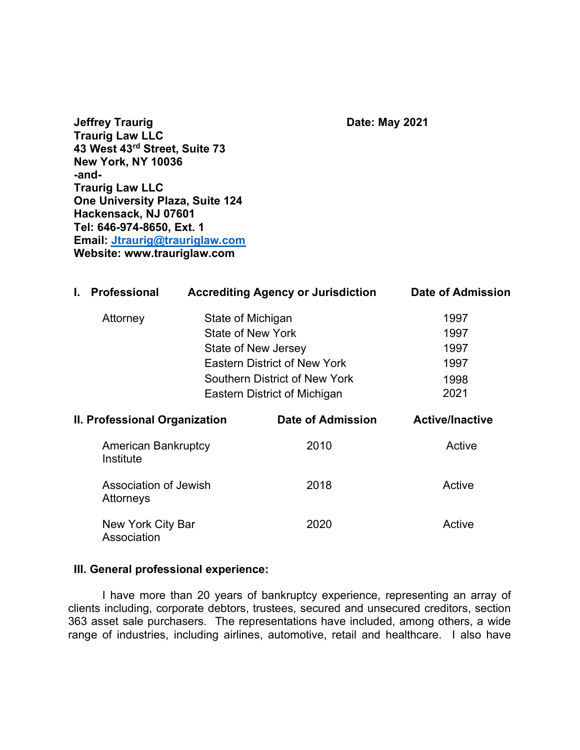**Jeffrey Traurig Carrolling Contract Contract Carrolling Date: May 2021** Traurig Law LL**C** 43 West 43rd Street, Suite 73 New York, NY 10036 -and-Traurig Law LL**C** One University Plaza, Suite 124 Hackensack, NJ 07601 Tel: 646-974-8650, Ext. 1 Email: Jtraurig@trauriglaw.com Website: www.trauriglaw.com

| I.                            | <b>Professional</b>                                                           | <b>Accrediting Agency or Jurisdiction</b> |                                      | Date of Admission      |
|-------------------------------|-------------------------------------------------------------------------------|-------------------------------------------|--------------------------------------|------------------------|
|                               | Attorney                                                                      | State of Michigan                         |                                      | 1997                   |
|                               | State of New York<br>State of New Jersey                                      |                                           | 1997                                 |                        |
|                               |                                                                               |                                           | 1997                                 |                        |
|                               |                                                                               |                                           | <b>Eastern District of New York</b>  | 1997                   |
|                               |                                                                               |                                           | <b>Southern District of New York</b> | 1998                   |
|                               |                                                                               |                                           | Eastern District of Michigan         | 2021                   |
| II. Professional Organization |                                                                               |                                           | Date of Admission                    | <b>Active/Inactive</b> |
|                               | <b>American Bankruptcy</b><br>Institute<br>Association of Jewish<br>Attorneys |                                           | 2010                                 | Active                 |
|                               |                                                                               |                                           | 2018                                 | Active                 |

New York City Bar Association 2020 Active

#### III. General professional experience:

I have more than 20 years of bankruptcy experience, representing an array of clients including, corporate debtors, trustees, secured and unsecured creditors, section 363 asset sale purchasers. The representations have included, among others, a wide range of industries, including airlines, automotive, retail and healthcare. I also have